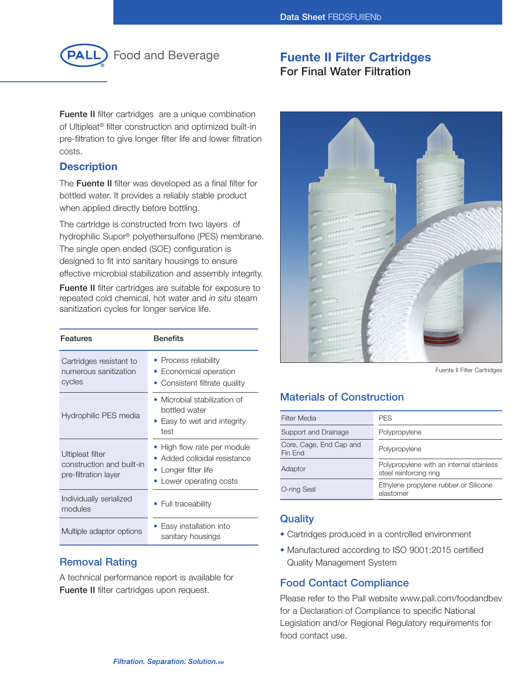

# **Fuente II Filter Cartridges For Final Water Filtration**

**Fuente II** filter cartridges are a unique combination of Ultipleat® filter construction and optimized built-in pre-filtration to give longer filter life and lower filtration costs.

## **Description**

The **Fuente II** filter was developed as a final filter for bottled water. It provides a reliably stable product when applied directly before bottling.

The cartridge is constructed from two layers of hydrophilic Supor® polyethersulfone (PES) membrane. The single open ended (SOE) configuration is designed to fit into sanitary housings to ensure effective microbial stabilization and assembly integrity.

**Fuente II** filter cartridges are suitable for exposure to repeated cold chemical, hot water and *in situ* steam sanitization cycles for longer service life.

| <b>Features</b>                                                       | <b>Benefits</b>                                                                                            |
|-----------------------------------------------------------------------|------------------------------------------------------------------------------------------------------------|
| Cartridges resistant to<br>numerous sanitization<br>cycles            | • Process reliability<br>• Economical operation<br>• Consistent filtrate quality                           |
| Hydrophilic PES media                                                 | • Microbial stabilization of<br>bottled water<br>• Easy to wet and integrity<br>test                       |
| Ultipleat filter<br>construction and built-in<br>pre-filtration layer | • High flow rate per module<br>Added colloidal resistance<br>• Longer filter life<br>Lower operating costs |
| Individually serialized<br>modules                                    | • Full traceability                                                                                        |
| Multiple adaptor options                                              | Easy installation into<br>sanitary housings                                                                |

## **Removal Rating**

A technical performance report is available for **Fuente II** filter cartridges upon request.



Fuente II Filter Cartridges

# **Materials of Construction**

| <b>Filter Media</b>                | <b>PES</b>                                                         |
|------------------------------------|--------------------------------------------------------------------|
| Support and Drainage               | Polypropylene                                                      |
| Core, Cage, End Cap and<br>Fin End | Polypropylene                                                      |
| Adaptor                            | Polypropylene with an internal stainless<br>steel reinforcing ring |
| O-ring Seal                        | Ethylene propylene rubber or Silicone<br>elastomer                 |

## **Quality**

- Cartridges produced in a controlled environment
- Manufactured according to ISO 9001:2015 certified Quality Management System

# **Food Contact Compliance**

Please refer to the Pall website www.pall.com/foodandbev for a Declaration of Compliance to specific National Legislation and/or Regional Regulatory requirements for food contact use.